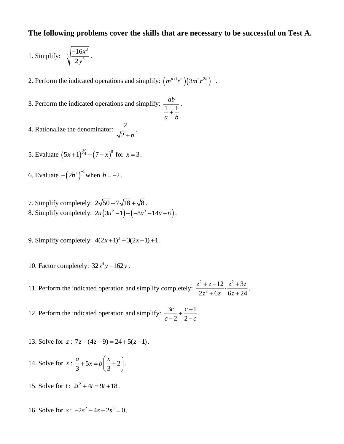## **The following problems cover the skills that are necessary to be successful on Test A.**

.

1. Simplify: 
$$
\sqrt[3]{\frac{-16x^3}{2y^6}}.
$$

2. Perform the indicated operations and simplify:  $(m^{n+1}r^n)(3m^nr^{2n})^{-1}$ .

- 3. Perform the indicated operations and simplify:  $\frac{uv}{1-1}$ *ab*  $a^+ b^-$
- 4. Rationalize the denominator:  $\frac{2}{\sqrt{2}}$  $2 + b$ .
- 5. Evaluate  $(5x+1)^{3/4} (7-x)^{0}$  for  $x = 3$ .
- 6. Evaluate  $-(2b^2)^{-1}$  when  $b = -2$ .
- 7. Simplify completely:  $2\sqrt{50} 7\sqrt{18} + \sqrt{8}$ . 8. Simplify completely:  $2u(3u^2 - 1) - (-8u^3 - 14u + 6)$ .
- 9. Simplify completely:  $4(2x+1)^2 + 3(2x+1) + 1$ .
- 10. Factor completely:  $32x^4y 162y$ .
- 11. Perform the indicated operation and simplify completely: 2  $\sqrt{2}$  2 2  $12 \t z^2 + 3$  $2z^2 + 6z \quad 6z + 24$ *z z z z z z z*  $\frac{+z-12}{z^2+6z} \cdot \frac{z^2+3z}{6z+24}.$
- 12. Perform the indicated operation and simplify:  $\frac{3c}{2} + \frac{c+1}{2}$ 2 2 *c c c c*  $\frac{3c}{-2} + \frac{c+1}{2-c}$ .
- 13. Solve for  $z: 7z-(4z-9) = 24+5(z-1)$ .
- 14. Solve for  $x: \frac{a}{2} + 5x = b \frac{b}{2} + 2$ 3 3  $\frac{a}{x+5x}$  =  $b\left(\frac{x}{-+2}\right)$  $+5x = b\left(\frac{x}{3} + 2\right).$
- 15. Solve for  $t: 2t^2 + 4t = 9t + 18$ .
- 16. Solve for  $s: -2s^2 4s + 2s^3 = 0$ .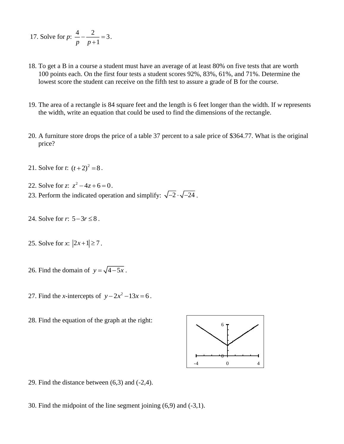- 17. Solve for  $p: \frac{4}{2} \frac{2}{3} = 3$  $\frac{p}{p} - \frac{2}{p+1} = 3.$
- 18. To get a B in a course a student must have an average of at least 80% on five tests that are worth 100 points each. On the first four tests a student scores 92%, 83%, 61%, and 71%. Determine the lowest score the student can receive on the fifth test to assure a grade of B for the course.
- 19. The area of a rectangle is 84 square feet and the length is 6 feet longer than the width. If *w* represents the width, write an equation that could be used to find the dimensions of the rectangle.
- 20. A furniture store drops the price of a table 37 percent to a sale price of \$364.77. What is the original price?
- 21. Solve for *t*:  $(t+2)^2 = 8$ .
- 22. Solve for *z*:  $z^2 4z + 6 = 0$ .
- 23. Perform the indicated operation and simplify:  $\sqrt{-2} \cdot \sqrt{-24}$ .
- 24. Solve for  $r: 5 3r \le 8$ .
- 25. Solve for *x*:  $|2x+1| \ge 7$ .
- 26. Find the domain of  $y = \sqrt{4-5x}$ .
- 27. Find the *x*-intercepts of  $y 2x^2 13x = 6$ .
- 28. Find the equation of the graph at the right:



29. Find the distance between (6,3) and (-2,4).

30. Find the midpoint of the line segment joining (6,9) and (-3,1).